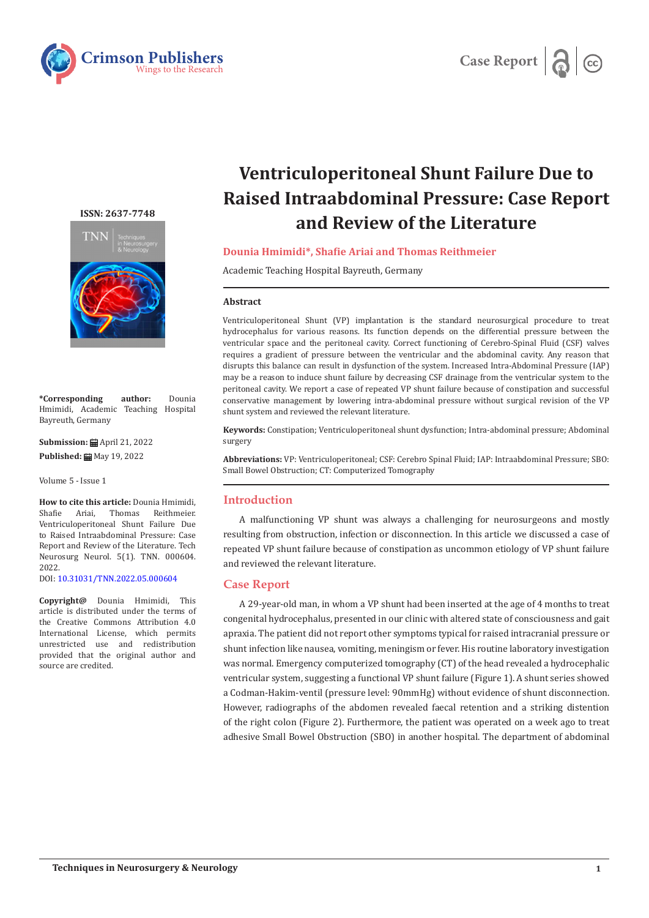



# **ISSN: 2637-7748**



**\*Corresponding author:** Dounia Hmimidi, Academic Teaching Hospital Bayreuth, Germany

**Submission:** April 21, 2022 **Published: ■ May 19, 2022** 

Volume 5 - Issue 1

**How to cite this article:** Dounia Hmimidi,<br>Shafie Ariai. Thomas Reithmeier. Shafie Ariai, Thomas Reithmeier. Ventriculoperitoneal Shunt Failure Due to Raised Intraabdominal Pressure: Case Report and Review of the Literature. Tech Neurosurg Neurol. 5(1). TNN. 000604. 2022.

DOI: [10.31031/TNN.2022.05.000604](http://dx.doi.org/10.31031/TNN.2022.05.000604)

**Copyright@** Dounia Hmimidi, This article is distributed under the terms of the Creative Commons Attribution 4.0 International License, which permits unrestricted use and redistribution provided that the original author and source are credited.

# **Ventriculoperitoneal Shunt Failure Due to Raised Intraabdominal Pressure: Case Report and Review of the Literature**

## **Dounia Hmimidi\*, Shafie Ariai and Thomas Reithmeier**

Academic Teaching Hospital Bayreuth, Germany

#### **Abstract**

Ventriculoperitoneal Shunt (VP) implantation is the standard neurosurgical procedure to treat hydrocephalus for various reasons. Its function depends on the differential pressure between the ventricular space and the peritoneal cavity. Correct functioning of Cerebro-Spinal Fluid (CSF) valves requires a gradient of pressure between the ventricular and the abdominal cavity. Any reason that disrupts this balance can result in dysfunction of the system. Increased Intra-Abdominal Pressure (IAP) may be a reason to induce shunt failure by decreasing CSF drainage from the ventricular system to the peritoneal cavity. We report a case of repeated VP shunt failure because of constipation and successful conservative management by lowering intra-abdominal pressure without surgical revision of the VP shunt system and reviewed the relevant literature.

**Keywords:** Constipation; Ventriculoperitoneal shunt dysfunction; Intra-abdominal pressure; Abdominal surgery

**Abbreviations:** VP: Ventriculoperitoneal; CSF: Cerebro Spinal Fluid; IAP: Intraabdominal Pressure; SBO: Small Bowel Obstruction; CT: Computerized Tomography

## **Introduction**

A malfunctioning VP shunt was always a challenging for neurosurgeons and mostly resulting from obstruction, infection or disconnection. In this article we discussed a case of repeated VP shunt failure because of constipation as uncommon etiology of VP shunt failure and reviewed the relevant literature.

### **Case Report**

A 29-year-old man, in whom a VP shunt had been inserted at the age of 4 months to treat congenital hydrocephalus, presented in our clinic with altered state of consciousness and gait apraxia. The patient did not report other symptoms typical for raised intracranial pressure or shunt infection like nausea, vomiting, meningism or fever. His routine laboratory investigation was normal. Emergency computerized tomography (CT) of the head revealed a hydrocephalic ventricular system, suggesting a functional VP shunt failure (Figure 1). A shunt series showed a Codman-Hakim-ventil (pressure level: 90mmHg) without evidence of shunt disconnection. However, radiographs of the abdomen revealed faecal retention and a striking distention of the right colon (Figure 2). Furthermore, the patient was operated on a week ago to treat adhesive Small Bowel Obstruction (SBO) in another hospital. The department of abdominal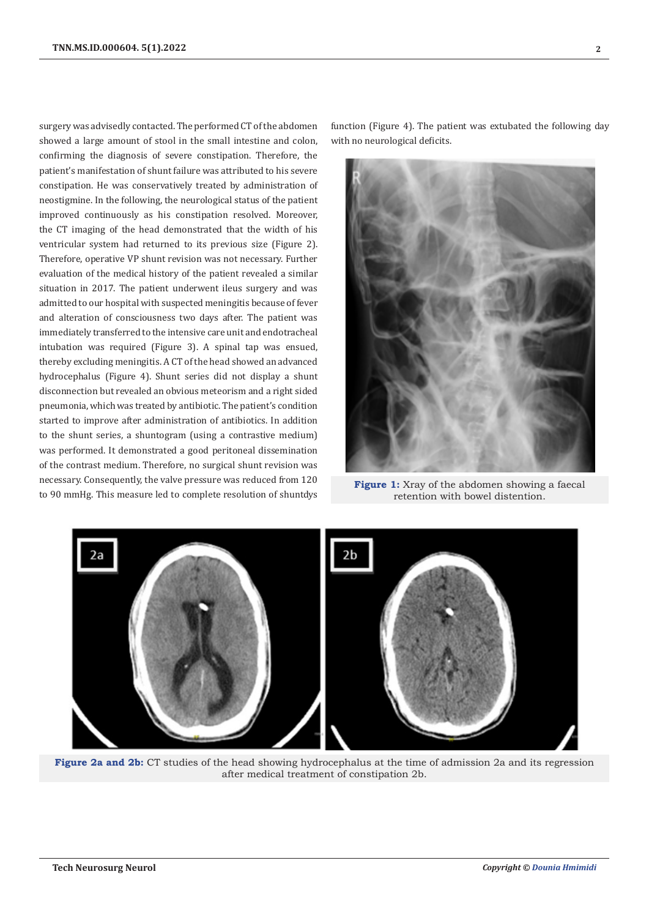surgery was advisedly contacted. The performed CT of the abdomen showed a large amount of stool in the small intestine and colon, confirming the diagnosis of severe constipation. Therefore, the patient's manifestation of shunt failure was attributed to his severe constipation. He was conservatively treated by administration of neostigmine. In the following, the neurological status of the patient improved continuously as his constipation resolved. Moreover, the CT imaging of the head demonstrated that the width of his ventricular system had returned to its previous size (Figure 2). Therefore, operative VP shunt revision was not necessary. Further evaluation of the medical history of the patient revealed a similar situation in 2017. The patient underwent ileus surgery and was admitted to our hospital with suspected meningitis because of fever and alteration of consciousness two days after. The patient was immediately transferred to the intensive care unit and endotracheal intubation was required (Figure 3). A spinal tap was ensued, thereby excluding meningitis. A CT of the head showed an advanced hydrocephalus (Figure 4). Shunt series did not display a shunt disconnection but revealed an obvious meteorism and a right sided pneumonia, which was treated by antibiotic. The patient's condition started to improve after administration of antibiotics. In addition to the shunt series, a shuntogram (using a contrastive medium) was performed. It demonstrated a good peritoneal dissemination of the contrast medium. Therefore, no surgical shunt revision was necessary. Consequently, the valve pressure was reduced from 120 to 90 mmHg. This measure led to complete resolution of shuntdys

function (Figure 4). The patient was extubated the following day with no neurological deficits.



**Figure 1:** Xray of the abdomen showing a faecal retention with bowel distention.



**Figure 2a and 2b:** CT studies of the head showing hydrocephalus at the time of admission 2a and its regression after medical treatment of constipation 2b.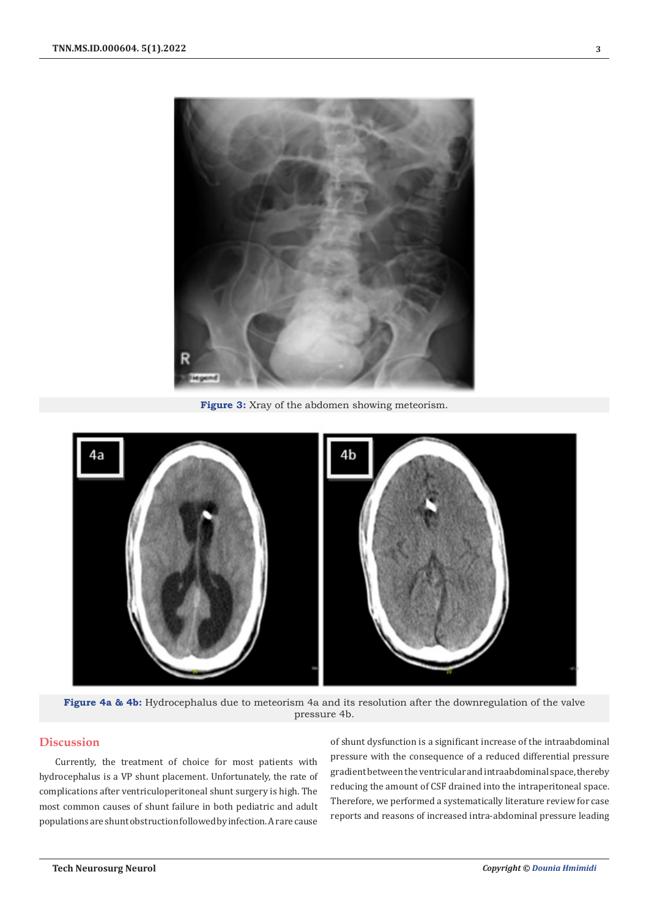

**Figure 3:** Xray of the abdomen showing meteorism.



**Figure 4a & 4b:** Hydrocephalus due to meteorism 4a and its resolution after the downregulation of the valve pressure 4b.

# **Discussion**

Currently, the treatment of choice for most patients with hydrocephalus is a VP shunt placement. Unfortunately, the rate of complications after ventriculoperitoneal shunt surgery is high. The most common causes of shunt failure in both pediatric and adult populations are shunt obstruction followed by infection. A rare cause

of shunt dysfunction is a significant increase of the intraabdominal pressure with the consequence of a reduced differential pressure gradient between the ventricular and intraabdominal space, thereby reducing the amount of CSF drained into the intraperitoneal space. Therefore, we performed a systematically literature review for case reports and reasons of increased intra-abdominal pressure leading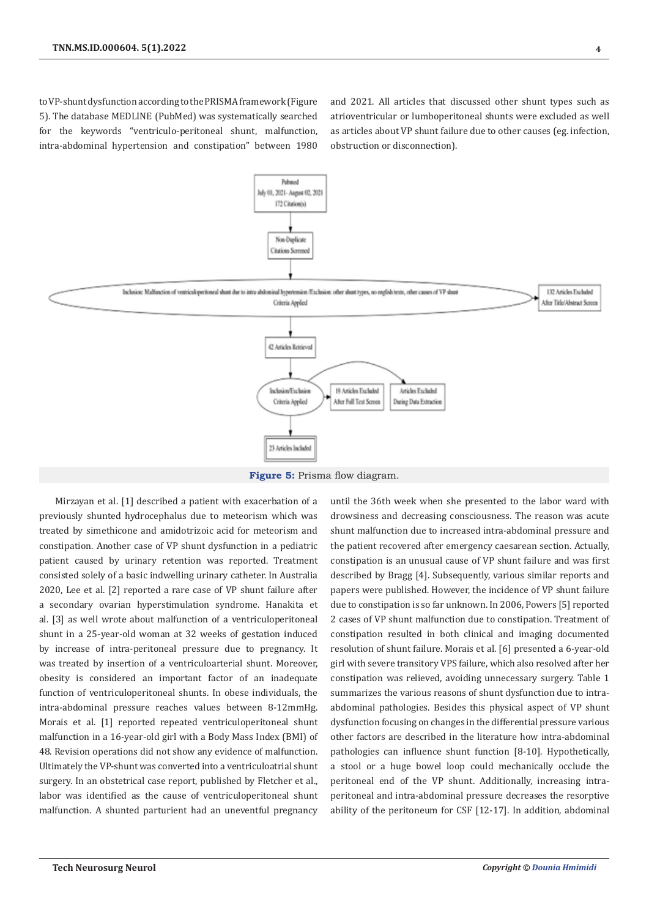to VP-shunt dysfunction according to the PRISMA framework (Figure 5). The database MEDLINE (PubMed) was systematically searched for the keywords "ventriculo-peritoneal shunt, malfunction, intra-abdominal hypertension and constipation" between 1980 and 2021. All articles that discussed other shunt types such as atrioventricular or lumboperitoneal shunts were excluded as well as articles about VP shunt failure due to other causes (eg. infection, obstruction or disconnection).



**Figure 5:** Prisma flow diagram.

Mirzayan et al. [1] described a patient with exacerbation of a previously shunted hydrocephalus due to meteorism which was treated by simethicone and amidotrizoic acid for meteorism and constipation. Another case of VP shunt dysfunction in a pediatric patient caused by urinary retention was reported. Treatment consisted solely of a basic indwelling urinary catheter. In Australia 2020, Lee et al. [2] reported a rare case of VP shunt failure after a secondary ovarian hyperstimulation syndrome. Hanakita et al. [3] as well wrote about malfunction of a ventriculoperitoneal shunt in a 25-year-old woman at 32 weeks of gestation induced by increase of intra-peritoneal pressure due to pregnancy. It was treated by insertion of a ventriculoarterial shunt. Moreover, obesity is considered an important factor of an inadequate function of ventriculoperitoneal shunts. In obese individuals, the intra-abdominal pressure reaches values between 8-12mmHg. Morais et al. [1] reported repeated ventriculoperitoneal shunt malfunction in a 16-year-old girl with a Body Mass Index (BMI) of 48. Revision operations did not show any evidence of malfunction. Ultimately the VP-shunt was converted into a ventriculoatrial shunt surgery. In an obstetrical case report, published by Fletcher et al., labor was identified as the cause of ventriculoperitoneal shunt malfunction. A shunted parturient had an uneventful pregnancy

until the 36th week when she presented to the labor ward with drowsiness and decreasing consciousness. The reason was acute shunt malfunction due to increased intra-abdominal pressure and the patient recovered after emergency caesarean section. Actually, constipation is an unusual cause of VP shunt failure and was first described by Bragg [4]. Subsequently, various similar reports and papers were published. However, the incidence of VP shunt failure due to constipation is so far unknown. In 2006, Powers [5] reported 2 cases of VP shunt malfunction due to constipation. Treatment of constipation resulted in both clinical and imaging documented resolution of shunt failure. Morais et al. [6] presented a 6-year-old girl with severe transitory VPS failure, which also resolved after her constipation was relieved, avoiding unnecessary surgery. Table 1 summarizes the various reasons of shunt dysfunction due to intraabdominal pathologies. Besides this physical aspect of VP shunt dysfunction focusing on changes in the differential pressure various other factors are described in the literature how intra-abdominal pathologies can influence shunt function [8-10]. Hypothetically, a stool or a huge bowel loop could mechanically occlude the peritoneal end of the VP shunt. Additionally, increasing intraperitoneal and intra-abdominal pressure decreases the resorptive ability of the peritoneum for CSF [12-17]. In addition, abdominal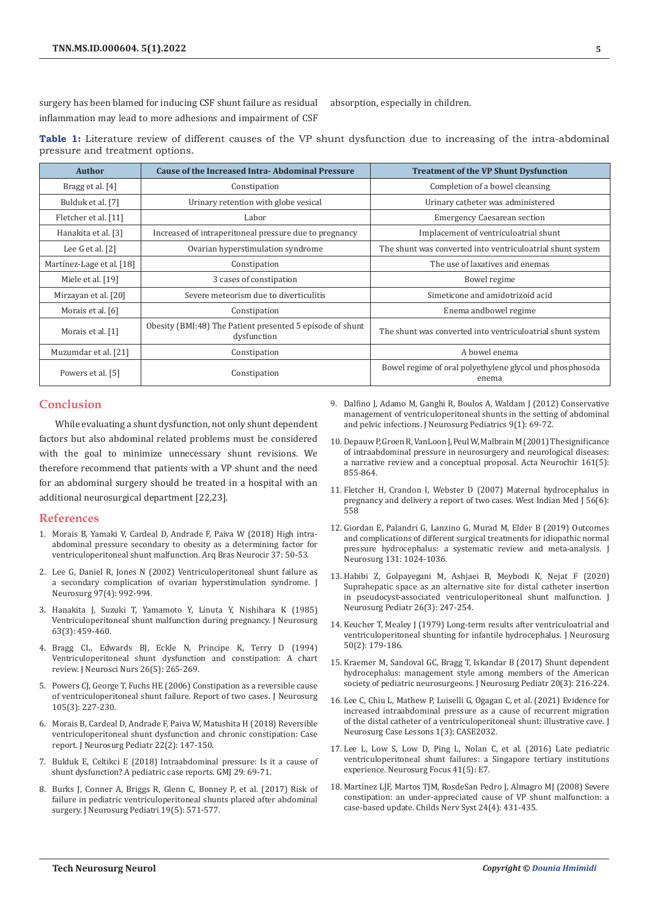surgery has been blamed for inducing CSF shunt failure as residual inflammation may lead to more adhesions and impairment of CSF absorption, especially in children.

**Table 1:** Literature review of different causes of the VP shunt dysfunction due to increasing of the intra-abdominal pressure and treatment options.

| <b>Author</b>             | <b>Cause of the Increased Intra-Abdominal Pressure</b>                   | <b>Treatment of the VP Shunt Dysfunction</b>                      |
|---------------------------|--------------------------------------------------------------------------|-------------------------------------------------------------------|
| Bragg et al. [4]          | Constipation                                                             | Completion of a bowel cleansing                                   |
| Bulduk et al. [7]         | Urinary retention with globe vesical                                     | Urinary catheter was administered                                 |
| Fletcher et al. [11]      | Labor                                                                    | <b>Emergency Caesarean section</b>                                |
| Hanakita et al. [3]       | Increased of intraperitoneal pressure due to pregnancy                   | Implacement of ventriculoatrial shunt                             |
| Lee $G$ et al. $[2]$      | Ovarian hyperstimulation syndrome                                        | The shunt was converted into ventriculoatrial shunt system        |
| Martínez-Lage et al. [18] | Constipation                                                             | The use of laxatives and enemas                                   |
| Miele et al. [19]         | 3 cases of constipation                                                  | Bowel regime                                                      |
| Mirzayan et al. [20]      | Severe meteorism due to diverticulitis                                   | Simeticone and amidotrizoid acid                                  |
| Morais et al. [6]         | Constipation                                                             | Enema andbowel regime                                             |
| Morais et al. [1]         | Obesity (BMI:48) The Patient presented 5 episode of shunt<br>dysfunction | The shunt was converted into ventriculoatrial shunt system        |
| Muzumdar et al. [21]      | Constipation                                                             | A bowel enema                                                     |
| Powers et al. [5]         | Constipation                                                             | Bowel regime of oral polyethylene glycol und phosphosoda<br>enema |

## **Conclusion**

While evaluating a shunt dysfunction, not only shunt dependent factors but also abdominal related problems must be considered with the goal to minimize unnecessary shunt revisions. We therefore recommend that patients with a VP shunt and the need for an abdominal surgery should be treated in a hospital with an additional neurosurgical department [22,23].

#### **References**

- 1. [Morais B, Yamaki V, Cardeal D, Andrade F, Paiva W \(2018\) High intra](https://www.thieme-connect.com/products/ejournals/pdf/10.1055/s-0038-1623516.pdf)[abdominal pressure secondary to obesity as a determining factor for](https://www.thieme-connect.com/products/ejournals/pdf/10.1055/s-0038-1623516.pdf)  [ventriculoperitoneal shunt malfunction. Arq Bras Neurocir 37: 50-53.](https://www.thieme-connect.com/products/ejournals/pdf/10.1055/s-0038-1623516.pdf)
- 2. [Lee G, Daniel R, Jones N \(2002\) Ventriculoperitoneal shunt failure as](https://pubmed.ncbi.nlm.nih.gov/12405393/)  [a secondary complication of ovarian hyperstimulation syndrome. J](https://pubmed.ncbi.nlm.nih.gov/12405393/)  [Neurosurg 97\(4\): 992-994.](https://pubmed.ncbi.nlm.nih.gov/12405393/)
- 3. [Hanakita J, Suzuki T, Yamamoto Y, Linuta Y, Nishihara K \(1985\)](https://pubmed.ncbi.nlm.nih.gov/4020476/)  [Ventriculoperitoneal shunt malfunction during pregnancy. J Neurosurg](https://pubmed.ncbi.nlm.nih.gov/4020476/)  [63\(3\): 459-460.](https://pubmed.ncbi.nlm.nih.gov/4020476/)
- 4. [Bragg CL, Edwards BJ, Eckle N, Principe K, Terry D \(1994\)](https://pubmed.ncbi.nlm.nih.gov/7829916/)  [Ventriculoperitoneal shunt dysfunction and constipation: A chart](https://pubmed.ncbi.nlm.nih.gov/7829916/)  [review. J Neurosci Nurs 26\(5\): 265-269.](https://pubmed.ncbi.nlm.nih.gov/7829916/)
- 5. [Powers CJ, George T, Fuchs HE \(2006\) Constipation as a reversible cause](https://pubmed.ncbi.nlm.nih.gov/16970237/)  [of ventriculoperitoneal shunt failure. Report of two cases. J Neurosurg](https://pubmed.ncbi.nlm.nih.gov/16970237/)  [105\(3\): 227-230.](https://pubmed.ncbi.nlm.nih.gov/16970237/)
- 6. [Morais B, Cardeal D, Andrade F, Paiva W, Matushita H \(2018\) Reversible](https://pubmed.ncbi.nlm.nih.gov/29749881/)  [ventriculoperitoneal shunt dysfunction and chronic constipation: Case](https://pubmed.ncbi.nlm.nih.gov/29749881/)  [report. J Neurosurg Pediatr 22\(2\): 147-150.](https://pubmed.ncbi.nlm.nih.gov/29749881/)
- 7. Bulduk E, Celtikci E (2018) Intraabdominal pressure: Is it a cause of shunt dysfunction? A pediatric case reports. GMJ 29: 69-71.
- 8. [Burks J, Conner A, Briggs R, Glenn C, Bonney P, et al. \(2017\) Risk of](https://pubmed.ncbi.nlm.nih.gov/28291419/)  [failure in pediatric ventriculoperitoneal shunts placed after abdominal](https://pubmed.ncbi.nlm.nih.gov/28291419/)  [surgery. J Neurosurg Pediatri 19\(5\): 571-577.](https://pubmed.ncbi.nlm.nih.gov/28291419/)
- 9. [Dalfino J, Adamo M, Ganghi R, Boulos A, Waldam J \(2012\) Conservative](https://pubmed.ncbi.nlm.nih.gov/22208324/) [management of ventriculoperitoneal shunts in the setting of abdominal](https://pubmed.ncbi.nlm.nih.gov/22208324/) [and pelvic infections. J Neurosurg Pediatrics 9\(1\): 69-72.](https://pubmed.ncbi.nlm.nih.gov/22208324/)
- 10. [Depauw P, Groen R, VanLoon J, Peul W, Malbrain M \(2001\) The significance](https://pubmed.ncbi.nlm.nih.gov/30911831/) [of intraabdominal pressure in neurosurgery and neurological diseases:](https://pubmed.ncbi.nlm.nih.gov/30911831/) [a narrative review and a conceptual proposal. Acta Neurochir 161\(5\):](https://pubmed.ncbi.nlm.nih.gov/30911831/) [855-864.](https://pubmed.ncbi.nlm.nih.gov/30911831/)
- 11. [Fletcher H, Crandon I, Webster D \(2007\) Maternal hydrocephalus in](https://pubmed.ncbi.nlm.nih.gov/18646505/) [pregnancy and delivery a report of two cases. West Indian Med J 56\(6\):](https://pubmed.ncbi.nlm.nih.gov/18646505/) [558](https://pubmed.ncbi.nlm.nih.gov/18646505/)
- 12. [Giordan E, Palandri G, Lanzino G, Murad M, Elder B \(2019\) Outcomes](https://pubmed.ncbi.nlm.nih.gov/30497150/) [and complications of different surgical treatments for idiopathic normal](https://pubmed.ncbi.nlm.nih.gov/30497150/) [pressure hydrocephalus: a systematic review and meta-analysis. J](https://pubmed.ncbi.nlm.nih.gov/30497150/) [Neurosurg 131: 1024-1036.](https://pubmed.ncbi.nlm.nih.gov/30497150/)
- 13. [Habibi Z, Golpayegani M, Ashjaei B, Meybodi K, Nejat F \(2020\)](https://pubmed.ncbi.nlm.nih.gov/32413860/) [Suprahepatic space as an alternative site for distal catheter insertion](https://pubmed.ncbi.nlm.nih.gov/32413860/) [in pseudocyst-associated ventriculoperitoneal shunt malfunction. J](https://pubmed.ncbi.nlm.nih.gov/32413860/) [Neurosurg Pediatr 26\(3\): 247-254.](https://pubmed.ncbi.nlm.nih.gov/32413860/)
- 14. [Keucher T, Mealey J \(1979\) Long-term results after ventriculoatrial and](https://pubmed.ncbi.nlm.nih.gov/430130/) [ventriculoperitoneal shunting for infantile hydrocephalus. J Neurosurg](https://pubmed.ncbi.nlm.nih.gov/430130/) [50\(2\): 179-186.](https://pubmed.ncbi.nlm.nih.gov/430130/)
- 15. [Kraemer M, Sandoval GC, Bragg T, Iskandar B \(2017\) Shunt dependent](https://pubmed.ncbi.nlm.nih.gov/28665241/) [hydrocephalus: management style among members of the American](https://pubmed.ncbi.nlm.nih.gov/28665241/) [society of pediatric neurosurgeons. J Neurosurg Pediatr 20\(3\): 216-224.](https://pubmed.ncbi.nlm.nih.gov/28665241/)
- 16. Lee C, Chiu L, Mathew P, Luiselli G, Ogagan C, et al. (2021) Evidence for increased intraabdominal pressure as a cause of recurrent migration of the distal catheter of a ventriculoperitoneal shunt: illustrative cave. J Neurosurg Case Lessons 1(3): CASE2032.
- 17. [Lee L, Low S, Low D, Ping L, Nolan C, et al. \(2016\) Late pediatric](https://pubmed.ncbi.nlm.nih.gov/27798980/) [ventriculoperitoneal shunt failures: a Singapore tertiary institutions](https://pubmed.ncbi.nlm.nih.gov/27798980/) [experience. Neurosurg Focus 41\(5\): E7.](https://pubmed.ncbi.nlm.nih.gov/27798980/)
- 18. [Martínez LJF, Martos TJM, RosdeSan Pedro J, Almagro MJ \(2008\) Severe](https://pubmed.ncbi.nlm.nih.gov/17926043/) [constipation: an under-appreciated cause of VP shunt malfunction: a](https://pubmed.ncbi.nlm.nih.gov/17926043/) [case-based update. Childs Nerv Syst 24\(4\): 431-435.](https://pubmed.ncbi.nlm.nih.gov/17926043/)